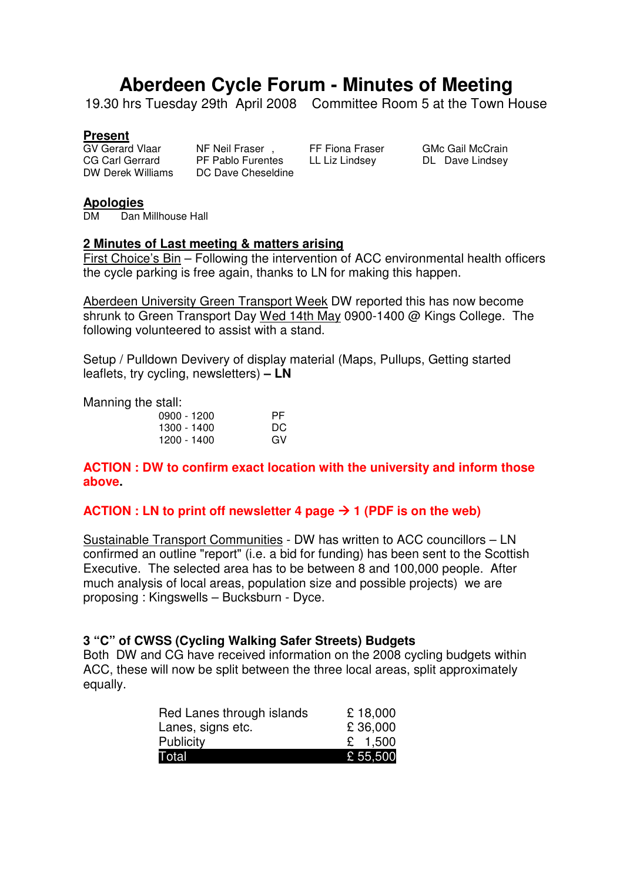# **Aberdeen Cycle Forum - Minutes of Meeting**

19.30 hrs Tuesday 29th April 2008 Committee Room 5 at the Town House

#### **Present**

GV Gerard Vlaar NF Neil Fraser , FF Fiona Fraser GMc Gail McCrain CG Carl Gerrard PF Pablo Furentes LL Liz Lindsey DL Dave Lindsey DW Derek Williams DC Dave Cheseldine

# **Apologies**

Dan Millhouse Hall

#### **2 Minutes of Last meeting & matters arising**

First Choice's Bin – Following the intervention of ACC environmental health officers the cycle parking is free again, thanks to LN for making this happen.

Aberdeen University Green Transport Week DW reported this has now become shrunk to Green Transport Day Wed 14th May 0900-1400 @ Kings College. The following volunteered to assist with a stand.

Setup / Pulldown Devivery of display material (Maps, Pullups, Getting started leaflets, try cycling, newsletters) **– LN** 

Manning the stall:

| 0900 - 1200 | PF. |
|-------------|-----|
| 1300 - 1400 | DC. |
| 1200 - 1400 | GV  |

**ACTION : DW to confirm exact location with the university and inform those above.** 

#### **ACTION : LN to print off newsletter 4 page**  $\rightarrow$  **1 (PDF is on the web)**

Sustainable Transport Communities - DW has written to ACC councillors – LN confirmed an outline "report" (i.e. a bid for funding) has been sent to the Scottish Executive. The selected area has to be between 8 and 100,000 people. After much analysis of local areas, population size and possible projects) we are proposing : Kingswells – Bucksburn - Dyce.

#### **3 "C" of CWSS (Cycling Walking Safer Streets) Budgets**

Both DW and CG have received information on the 2008 cycling budgets within ACC, these will now be split between the three local areas, split approximately equally.

| Red Lanes through islands | £18,000   |
|---------------------------|-----------|
| Lanes, signs etc.         | £36,000   |
| <b>Publicity</b>          | £ $1,500$ |
| Total                     | £ 55,500  |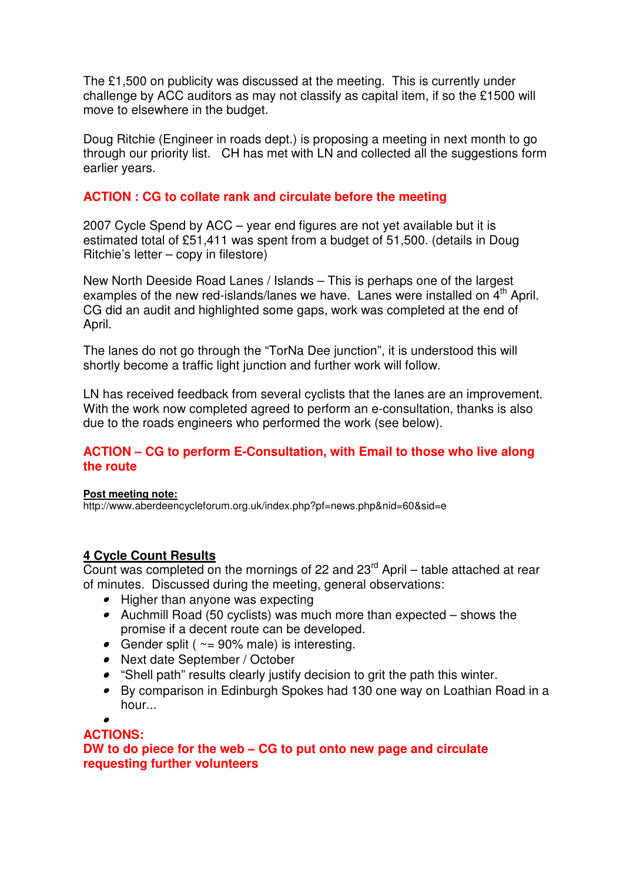The £1,500 on publicity was discussed at the meeting. This is currently under challenge by ACC auditors as may not classify as capital item, if so the £1500 will move to elsewhere in the budget.

Doug Ritchie (Engineer in roads dept.) is proposing a meeting in next month to go through our priority list. CH has met with LN and collected all the suggestions form earlier years.

### **ACTION : CG to collate rank and circulate before the meeting**

2007 Cycle Spend by ACC – year end figures are not yet available but it is estimated total of £51,411 was spent from a budget of 51,500. (details in Doug Ritchie's letter – copy in filestore)

New North Deeside Road Lanes / Islands – This is perhaps one of the largest examples of the new red-islands/lanes we have. Lanes were installed on  $4<sup>th</sup>$  April. CG did an audit and highlighted some gaps, work was completed at the end of April.

The lanes do not go through the "TorNa Dee junction", it is understood this will shortly become a traffic light junction and further work will follow.

LN has received feedback from several cyclists that the lanes are an improvement. With the work now completed agreed to perform an e-consultation, thanks is also due to the roads engineers who performed the work (see below).

#### **ACTION – CG to perform E-Consultation, with Email to those who live along the route**

#### **Post meeting note:**

http://www.aberdeencycleforum.org.uk/index.php?pf=news.php&nid=60&sid=e

## **4 Cycle Count Results**

Count was completed on the mornings of 22 and  $23<sup>rd</sup>$  April – table attached at rear of minutes. Discussed during the meeting, general observations:

- Higher than anyone was expecting
- Auchmill Road (50 cyclists) was much more than expected shows the promise if a decent route can be developed.
- Gender split ( $\sim$  = 90% male) is interesting.
- Next date September / October
- "Shell path" results clearly justify decision to grit the path this winter.
- By comparison in Edinburgh Spokes had 130 one way on Loathian Road in a hour...

•

#### **ACTIONS:**

**DW to do piece for the web – CG to put onto new page and circulate requesting further volunteers**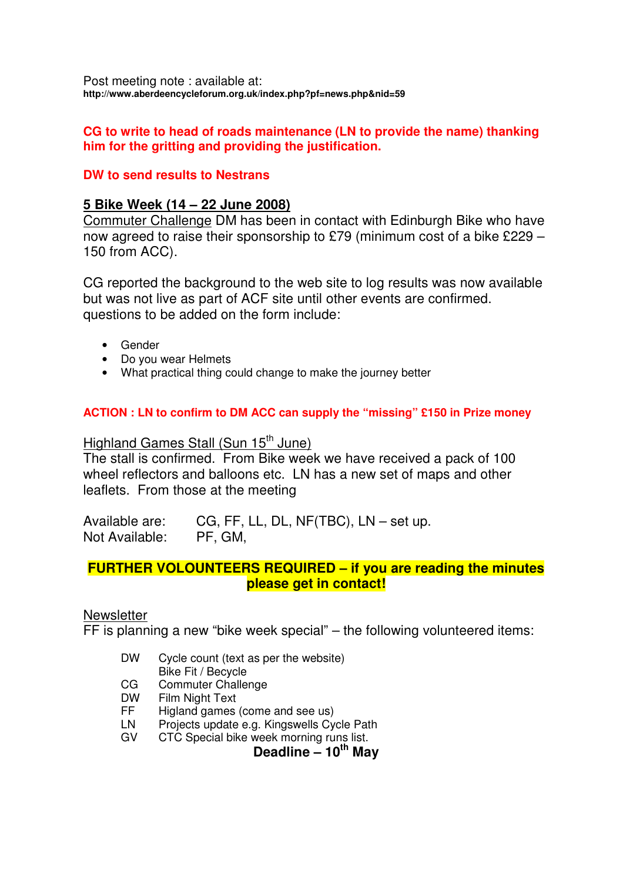Post meeting note : available at: **http://www.aberdeencycleforum.org.uk/index.php?pf=news.php&nid=59**

#### **CG to write to head of roads maintenance (LN to provide the name) thanking him for the gritting and providing the justification.**

### **DW to send results to Nestrans**

### **5 Bike Week (14 – 22 June 2008)**

Commuter Challenge DM has been in contact with Edinburgh Bike who have now agreed to raise their sponsorship to £79 (minimum cost of a bike £229 – 150 from ACC).

CG reported the background to the web site to log results was now available but was not live as part of ACF site until other events are confirmed. questions to be added on the form include:

- **Gender**
- Do you wear Helmets
- What practical thing could change to make the journey better

#### **ACTION : LN to confirm to DM ACC can supply the "missing" £150 in Prize money**

## Highland Games Stall (Sun 15<sup>th</sup> June)

The stall is confirmed. From Bike week we have received a pack of 100 wheel reflectors and balloons etc. LN has a new set of maps and other leaflets. From those at the meeting

Available are: CG, FF, LL, DL, NF(TBC), LN – set up. Not Available: PF, GM,

## **FURTHER VOLOUNTEERS REQUIRED – if you are reading the minutes please get in contact!**

#### **Newsletter**

FF is planning a new "bike week special" – the following volunteered items:

- DW Cycle count (text as per the website)
- Bike Fit / Becycle
- CG Commuter Challenge
- DW Film Night Text
- FF Higland games (come and see us)
- LN Projects update e.g. Kingswells Cycle Path
- GV CTC Special bike week morning runs list.

**Deadline – 10th May**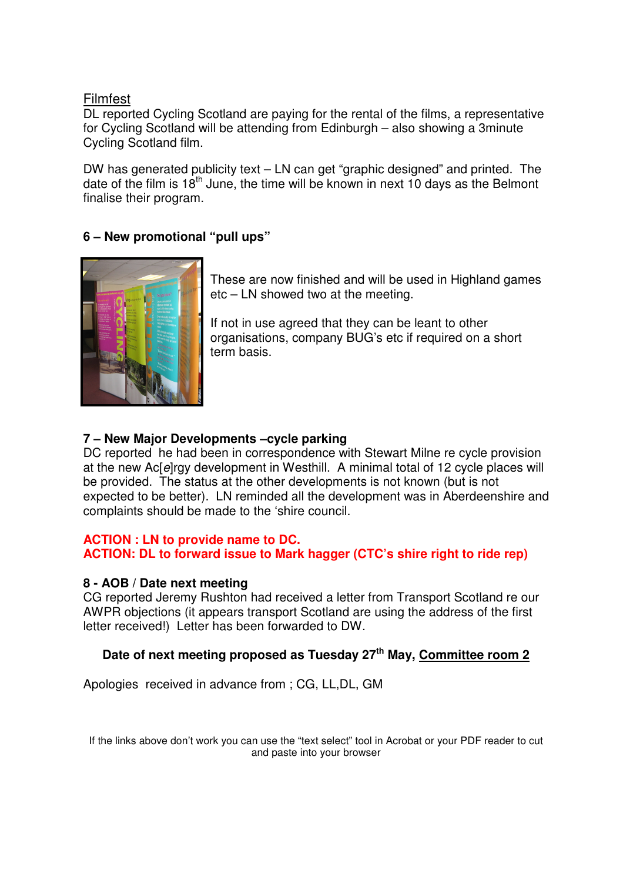### Filmfest

DL reported Cycling Scotland are paying for the rental of the films, a representative for Cycling Scotland will be attending from Edinburgh – also showing a 3minute Cycling Scotland film.

DW has generated publicity text – LN can get "graphic designed" and printed. The date of the film is  $18<sup>th</sup>$  June, the time will be known in next 10 days as the Belmont finalise their program.

## **6 – New promotional "pull ups"**



These are now finished and will be used in Highland games etc – LN showed two at the meeting.

If not in use agreed that they can be leant to other organisations, company BUG's etc if required on a short term basis.

## **7 – New Major Developments –cycle parking**

DC reported he had been in correspondence with Stewart Milne re cycle provision at the new Ac[e]rgy development in Westhill. A minimal total of 12 cycle places will be provided. The status at the other developments is not known (but is not expected to be better). LN reminded all the development was in Aberdeenshire and complaints should be made to the 'shire council.

#### **ACTION : LN to provide name to DC.**

**ACTION: DL to forward issue to Mark hagger (CTC's shire right to ride rep)**

#### **8 - AOB / Date next meeting**

CG reported Jeremy Rushton had received a letter from Transport Scotland re our AWPR objections (it appears transport Scotland are using the address of the first letter received!) Letter has been forwarded to DW.

## **Date of next meeting proposed as Tuesday 27th May, Committee room 2**

Apologies received in advance from ; CG, LL,DL, GM

If the links above don't work you can use the "text select" tool in Acrobat or your PDF reader to cut and paste into your browser